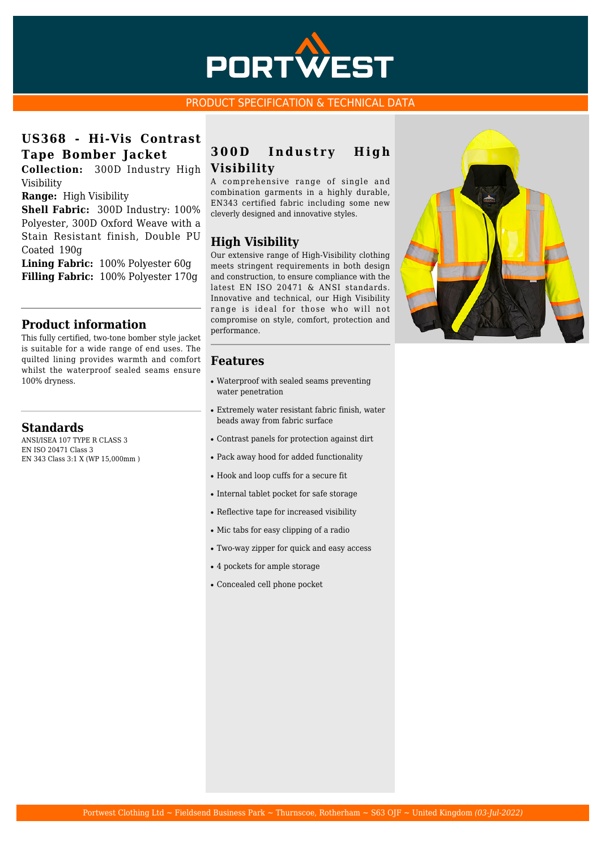

#### PRODUCT SPECIFICATION & TECHNICAL DATA

# **US368 - Hi-Vis Contrast Tape Bomber Jacket**

**Collection:** 300D Industry High Visibility

**Range:** High Visibility

**Shell Fabric:** 300D Industry: 100% Polyester, 300D Oxford Weave with a Stain Resistant finish, Double PU Coated 190g

**Lining Fabric:** 100% Polyester 60g **Filling Fabric:** 100% Polyester 170g

## **Product information**

This fully certified, two-tone bomber style jacket is suitable for a wide range of end uses. The quilted lining provides warmth and comfort whilst the waterproof sealed seams ensure 100% dryness.

#### **Standards**

ANSI/ISEA 107 TYPE R CLASS 3 EN ISO 20471 Class 3 EN 343 Class 3:1 X (WP 15,000mm )

## **300D Industry High Visibility**

A comprehensive range of single and combination garments in a highly durable, EN343 certified fabric including some new cleverly designed and innovative styles.

## **High Visibility**

Our extensive range of High-Visibility clothing meets stringent requirements in both design and construction, to ensure compliance with the latest EN ISO 20471 & ANSI standards. Innovative and technical, our High Visibility range is ideal for those who will not compromise on style, comfort, protection and performance.

#### **Features**

- Waterproof with sealed seams preventing water penetration
- Extremely water resistant fabric finish, water beads away from fabric surface
- Contrast panels for protection against dirt
- Pack away hood for added functionality
- Hook and loop cuffs for a secure fit
- Internal tablet pocket for safe storage
- Reflective tape for increased visibility
- Mic tabs for easy clipping of a radio
- Two-way zipper for quick and easy access
- 4 pockets for ample storage
- Concealed cell phone pocket